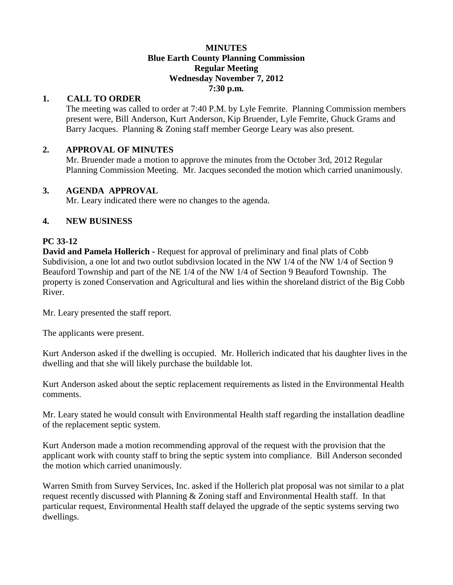#### **MINUTES Blue Earth County Planning Commission Regular Meeting Wednesday November 7, 2012 7:30 p.m.**

## **1. CALL TO ORDER**

The meeting was called to order at 7:40 P.M. by Lyle Femrite. Planning Commission members present were, Bill Anderson, Kurt Anderson, Kip Bruender, Lyle Femrite, Ghuck Grams and Barry Jacques. Planning & Zoning staff member George Leary was also present.

## **2. APPROVAL OF MINUTES**

Mr. Bruender made a motion to approve the minutes from the October 3rd, 2012 Regular Planning Commission Meeting. Mr. Jacques seconded the motion which carried unanimously.

## **3. AGENDA APPROVAL**

Mr. Leary indicated there were no changes to the agenda.

## **4. NEW BUSINESS**

# **PC 33-12**

**David and Pamela Hollerich -** Request for approval of preliminary and final plats of Cobb Subdivision, a one lot and two outlot subdivsion located in the NW 1/4 of the NW 1/4 of Section 9 Beauford Township and part of the NE 1/4 of the NW 1/4 of Section 9 Beauford Township. The property is zoned Conservation and Agricultural and lies within the shoreland district of the Big Cobb River.

Mr. Leary presented the staff report.

The applicants were present.

Kurt Anderson asked if the dwelling is occupied. Mr. Hollerich indicated that his daughter lives in the dwelling and that she will likely purchase the buildable lot.

Kurt Anderson asked about the septic replacement requirements as listed in the Environmental Health comments.

Mr. Leary stated he would consult with Environmental Health staff regarding the installation deadline of the replacement septic system.

Kurt Anderson made a motion recommending approval of the request with the provision that the applicant work with county staff to bring the septic system into compliance. Bill Anderson seconded the motion which carried unanimously.

Warren Smith from Survey Services, Inc. asked if the Hollerich plat proposal was not similar to a plat request recently discussed with Planning & Zoning staff and Environmental Health staff. In that particular request, Environmental Health staff delayed the upgrade of the septic systems serving two dwellings.